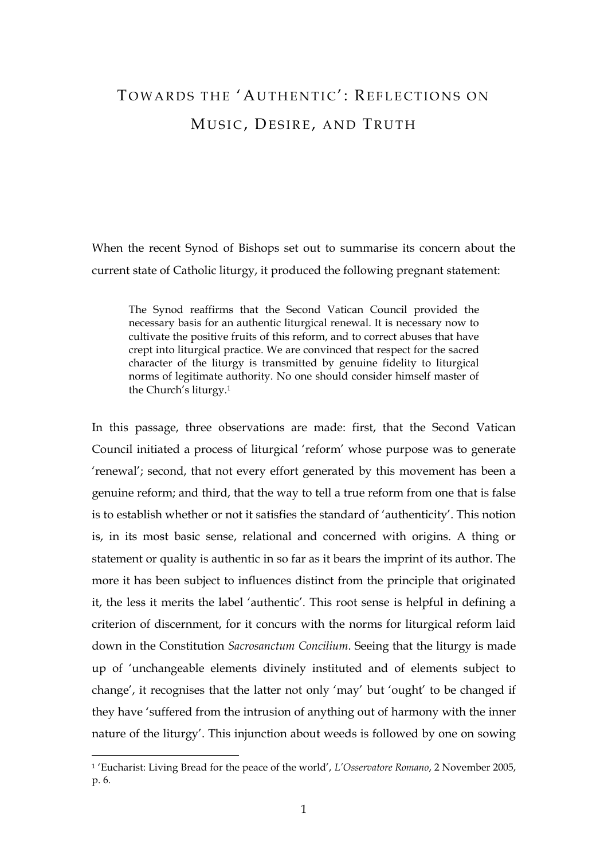## TOWARDS THE 'AUTHENTIC': REFLECTIONS ON MUSIC, DESIRE, AND TRUTH

When the recent Synod of Bishops set out to summarise its concern about the current state of Catholic liturgy, it produced the following pregnant statement:

The Synod reaffirms that the Second Vatican Council provided the necessary basis for an authentic liturgical renewal. It is necessary now to cultivate the positive fruits of this reform, and to correct abuses that have crept into liturgical practice. We are convinced that respect for the sacred character of the liturgy is transmitted by genuine fidelity to liturgical norms of legitimate authority. No one should consider himself master of the Church's liturgy.<sup>1</sup>

In this passage, three observations are made: first, that the Second Vatican Council initiated a process of liturgical 'reform' whose purpose was to generate 'renewal'; second, that not every effort generated by this movement has been a genuine reform; and third, that the way to tell a true reform from one that is false is to establish whether or not it satisfies the standard of 'authenticity'. This notion is, in its most basic sense, relational and concerned with origins. A thing or statement or quality is authentic in so far as it bears the imprint of its author. The more it has been subject to influences distinct from the principle that originated it, the less it merits the label 'authentic'. This root sense is helpful in defining a criterion of discernment, for it concurs with the norms for liturgical reform laid down in the Constitution *Sacrosanctum Concilium*. Seeing that the liturgy is made up of 'unchangeable elements divinely instituted and of elements subject to change', it recognises that the latter not only 'may' but 'ought' to be changed if they have 'suffered from the intrusion of anything out of harmony with the inner nature of the liturgy'. This injunction about weeds is followed by one on sowing

<sup>1</sup> 'Eucharist: Living Bread for the peace of the world', *L'Osservatore Romano*, 2 November 2005, p. 6.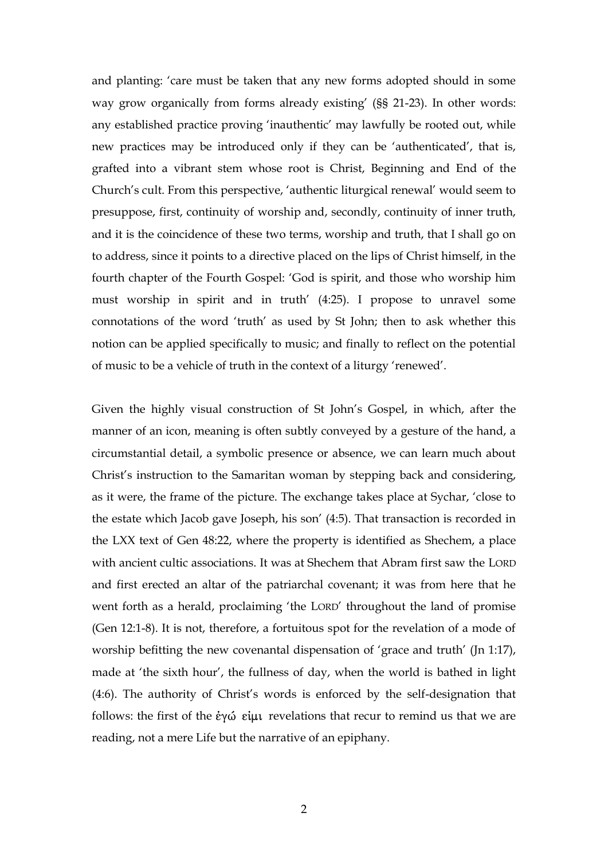and planting: 'care must be taken that any new forms adopted should in some way grow organically from forms already existing' (§§ 21-23). In other words: any established practice proving 'inauthentic' may lawfully be rooted out, while new practices may be introduced only if they can be 'authenticated', that is, grafted into a vibrant stem whose root is Christ, Beginning and End of the Church's cult. From this perspective, 'authentic liturgical renewal' would seem to presuppose, first, continuity of worship and, secondly, continuity of inner truth, and it is the coincidence of these two terms, worship and truth, that I shall go on to address, since it points to a directive placed on the lips of Christ himself, in the fourth chapter of the Fourth Gospel: 'God is spirit, and those who worship him must worship in spirit and in truth' (4:25). I propose to unravel some connotations of the word 'truth' as used by St John; then to ask whether this notion can be applied specifically to music; and finally to reflect on the potential of music to be a vehicle of truth in the context of a liturgy 'renewed'.

Given the highly visual construction of St John's Gospel, in which, after the manner of an icon, meaning is often subtly conveyed by a gesture of the hand, a circumstantial detail, a symbolic presence or absence, we can learn much about Christ's instruction to the Samaritan woman by stepping back and considering, as it were, the frame of the picture. The exchange takes place at Sychar, 'close to the estate which Jacob gave Joseph, his son' (4:5). That transaction is recorded in the LXX text of Gen 48:22, where the property is identified as Shechem, a place with ancient cultic associations. It was at Shechem that Abram first saw the LORD and first erected an altar of the patriarchal covenant; it was from here that he went forth as a herald, proclaiming 'the LORD' throughout the land of promise (Gen 12:1-8). It is not, therefore, a fortuitous spot for the revelation of a mode of worship befitting the new covenantal dispensation of 'grace and truth' (Jn 1:17), made at 'the sixth hour', the fullness of day, when the world is bathed in light (4:6). The authority of Christ's words is enforced by the self-designation that follows: the first of the  $\dot{\epsilon}$   $\gamma\dot{\omega}$   $\epsilon\dot{\mu}$  revelations that recur to remind us that we are reading, not a mere Life but the narrative of an epiphany.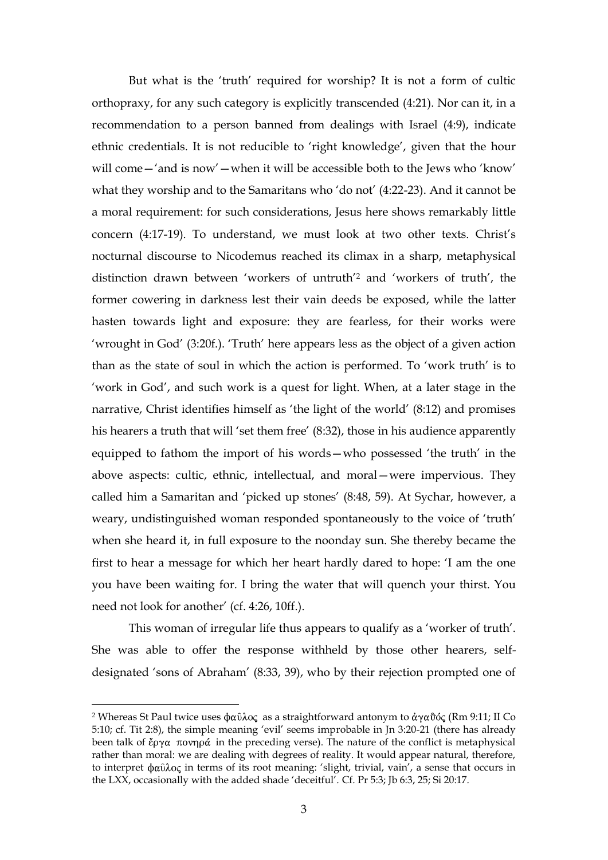But what is the 'truth' required for worship? It is not a form of cultic orthopraxy, for any such category is explicitly transcended (4:21). Nor can it, in a recommendation to a person banned from dealings with Israel (4:9), indicate ethnic credentials. It is not reducible to 'right knowledge', given that the hour will come—'and is now'—when it will be accessible both to the Jews who 'know' what they worship and to the Samaritans who 'do not' (4:22-23). And it cannot be a moral requirement: for such considerations, Jesus here shows remarkably little concern (4:17-19). To understand, we must look at two other texts. Christ's nocturnal discourse to Nicodemus reached its climax in a sharp, metaphysical distinction drawn between 'workers of untruth'<sup>2</sup> and 'workers of truth', the former cowering in darkness lest their vain deeds be exposed, while the latter hasten towards light and exposure: they are fearless, for their works were 'wrought in God' (3:20f.). 'Truth' here appears less as the object of a given action than as the state of soul in which the action is performed. To 'work truth' is to 'work in God', and such work is a quest for light. When, at a later stage in the narrative, Christ identifies himself as 'the light of the world' (8:12) and promises his hearers a truth that will 'set them free' (8:32), those in his audience apparently equipped to fathom the import of his words—who possessed 'the truth' in the above aspects: cultic, ethnic, intellectual, and moral—were impervious. They called him a Samaritan and 'picked up stones' (8:48, 59). At Sychar, however, a weary, undistinguished woman responded spontaneously to the voice of 'truth' when she heard it, in full exposure to the noonday sun. She thereby became the first to hear a message for which her heart hardly dared to hope: 'I am the one you have been waiting for. I bring the water that will quench your thirst. You need not look for another' (cf. 4:26, 10ff.).

This woman of irregular life thus appears to qualify as a 'worker of truth'. She was able to offer the response withheld by those other hearers, selfdesignated 'sons of Abraham' (8:33, 39), who by their rejection prompted one of

<sup>&</sup>lt;sup>2</sup> Whereas St Paul twice uses  $\phi \alpha \hat{\nu} \lambda o \zeta$  as a straightforward antonym to  $\dot{\alpha} \gamma \alpha \hat{\nu} \dot{\alpha}$  (Rm 9:11; II Co 5:10; cf. Tit 2:8), the simple meaning 'evil' seems improbable in Jn 3:20-21 (there has already been talk of  $\ell\rho\gamma\alpha$  πονηρά in the preceding verse). The nature of the conflict is metaphysical rather than moral: we are dealing with degrees of reality. It would appear natural, therefore, to interpret  $\phi$ αῦλος in terms of its root meaning: 'slight, trivial, vain', a sense that occurs in the LXX, occasionally with the added shade 'deceitful'. Cf. Pr 5:3; Jb 6:3, 25; Si 20:17.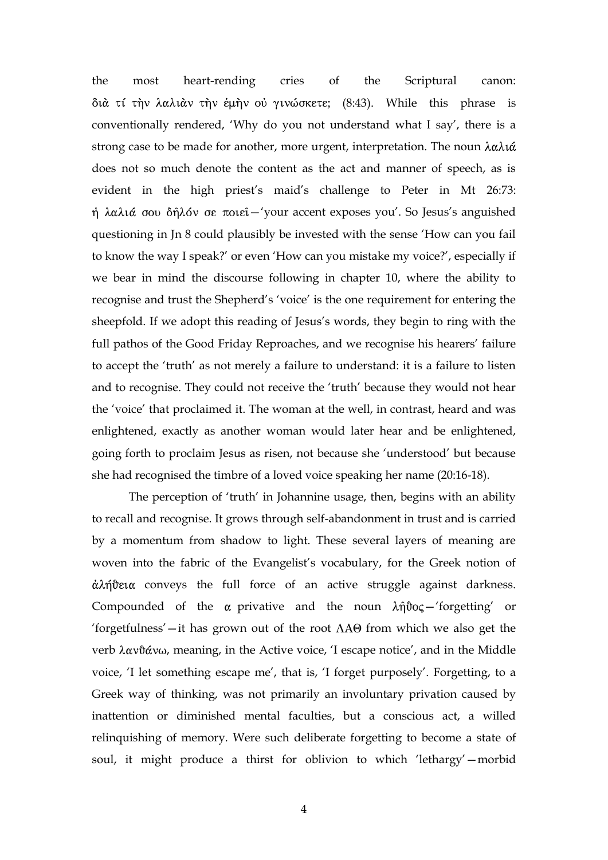the most heart-rending cries of the Scriptural canon: διά τί την λαλιάν την έμην ού γινώσκετε; (8:43). While this phrase is conventionally rendered, 'Why do you not understand what I say', there is a strong case to be made for another, more urgent, interpretation. The noun does not so much denote the content as the act and manner of speech, as is evident in the high priest's maid's challenge to Peter in Mt 26:73: ή λαλιά σου δήλόν σε ποιεί-'your accent exposes you'. So Jesus's anguished questioning in Jn 8 could plausibly be invested with the sense 'How can you fail to know the way I speak?' or even 'How can you mistake my voice?', especially if we bear in mind the discourse following in chapter 10, where the ability to recognise and trust the Shepherd's 'voice' is the one requirement for entering the sheepfold. If we adopt this reading of Jesus's words, they begin to ring with the full pathos of the Good Friday Reproaches, and we recognise his hearers' failure to accept the 'truth' as not merely a failure to understand: it is a failure to listen and to recognise. They could not receive the 'truth' because they would not hear the 'voice' that proclaimed it. The woman at the well, in contrast, heard and was enlightened, exactly as another woman would later hear and be enlightened, going forth to proclaim Jesus as risen, not because she 'understood' but because she had recognised the timbre of a loved voice speaking her name (20:16-18).

The perception of 'truth' in Johannine usage, then, begins with an ability to recall and recognise. It grows through self-abandonment in trust and is carried by a momentum from shadow to light. These several layers of meaning are woven into the fabric of the Evangelist's vocabulary, for the Greek notion of  $\dot{\alpha}$ λήθεια conveys the full force of an active struggle against darkness. Compounded of the  $\alpha$  privative and the noun  $\lambda \hat{\eta} \hat{\sigma} \sigma$  -'forgetting' or 'forgetfulness'—it has grown out of the root  $\Lambda A\Theta$  from which we also get the verb  $\lambda \alpha \nu \hat{\alpha} \nu \omega$ , meaning, in the Active voice, 'I escape notice', and in the Middle voice, 'I let something escape me', that is, 'I forget purposely'. Forgetting, to a Greek way of thinking, was not primarily an involuntary privation caused by inattention or diminished mental faculties, but a conscious act, a willed relinquishing of memory. Were such deliberate forgetting to become a state of soul, it might produce a thirst for oblivion to which 'lethargy'—morbid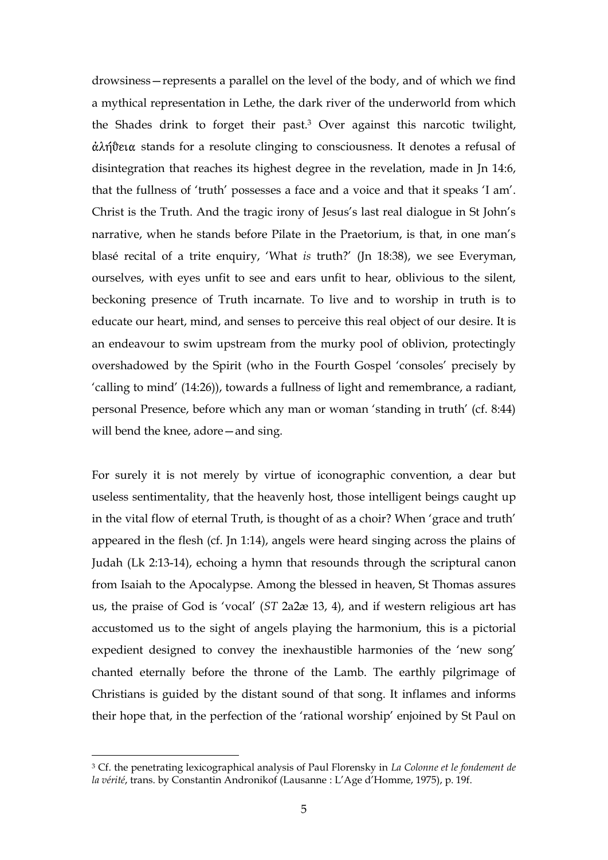drowsiness—represents a parallel on the level of the body, and of which we find a mythical representation in Lethe, the dark river of the underworld from which the Shades drink to forget their past.<sup>3</sup> Over against this narcotic twilight,  $\dot{\alpha}$ λήθεια stands for a resolute clinging to consciousness. It denotes a refusal of disintegration that reaches its highest degree in the revelation, made in Jn 14:6, that the fullness of 'truth' possesses a face and a voice and that it speaks 'I am'. Christ is the Truth. And the tragic irony of Jesus's last real dialogue in St John's narrative, when he stands before Pilate in the Praetorium, is that, in one man's blasé recital of a trite enquiry, 'What *is* truth?' (Jn 18:38), we see Everyman, ourselves, with eyes unfit to see and ears unfit to hear, oblivious to the silent, beckoning presence of Truth incarnate. To live and to worship in truth is to educate our heart, mind, and senses to perceive this real object of our desire. It is an endeavour to swim upstream from the murky pool of oblivion, protectingly overshadowed by the Spirit (who in the Fourth Gospel 'consoles' precisely by 'calling to mind' (14:26)), towards a fullness of light and remembrance, a radiant, personal Presence, before which any man or woman 'standing in truth' (cf. 8:44) will bend the knee, adore—and sing.

For surely it is not merely by virtue of iconographic convention, a dear but useless sentimentality, that the heavenly host, those intelligent beings caught up in the vital flow of eternal Truth, is thought of as a choir? When 'grace and truth' appeared in the flesh (cf. Jn 1:14), angels were heard singing across the plains of Judah (Lk 2:13-14), echoing a hymn that resounds through the scriptural canon from Isaiah to the Apocalypse. Among the blessed in heaven, St Thomas assures us, the praise of God is 'vocal' (*ST* 2a2æ 13, 4), and if western religious art has accustomed us to the sight of angels playing the harmonium, this is a pictorial expedient designed to convey the inexhaustible harmonies of the 'new song' chanted eternally before the throne of the Lamb. The earthly pilgrimage of Christians is guided by the distant sound of that song. It inflames and informs their hope that, in the perfection of the 'rational worship' enjoined by St Paul on

<sup>3</sup> Cf. the penetrating lexicographical analysis of Paul Florensky in *La Colonne et le fondement de la vérité*, trans. by Constantin Andronikof (Lausanne : L'Age d'Homme, 1975), p. 19f.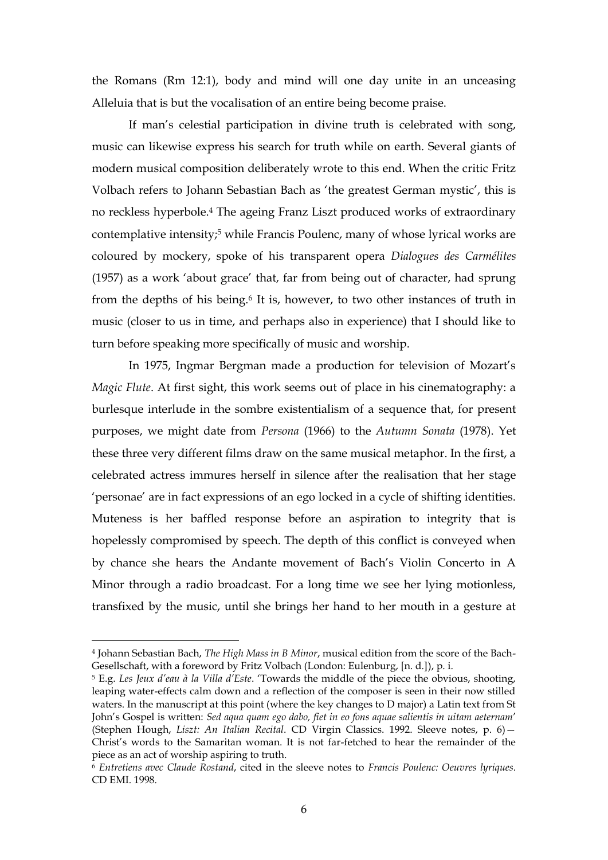the Romans (Rm 12:1), body and mind will one day unite in an unceasing Alleluia that is but the vocalisation of an entire being become praise.

If man's celestial participation in divine truth is celebrated with song, music can likewise express his search for truth while on earth. Several giants of modern musical composition deliberately wrote to this end. When the critic Fritz Volbach refers to Johann Sebastian Bach as 'the greatest German mystic', this is no reckless hyperbole.<sup>4</sup> The ageing Franz Liszt produced works of extraordinary contemplative intensity;<sup>5</sup> while Francis Poulenc, many of whose lyrical works are coloured by mockery, spoke of his transparent opera *Dialogues des Carmélites* (1957) as a work 'about grace' that, far from being out of character, had sprung from the depths of his being.<sup>6</sup> It is, however, to two other instances of truth in music (closer to us in time, and perhaps also in experience) that I should like to turn before speaking more specifically of music and worship.

In 1975, Ingmar Bergman made a production for television of Mozart's *Magic Flute*. At first sight, this work seems out of place in his cinematography: a burlesque interlude in the sombre existentialism of a sequence that, for present purposes, we might date from *Persona* (1966) to the *Autumn Sonata* (1978). Yet these three very different films draw on the same musical metaphor. In the first, a celebrated actress immures herself in silence after the realisation that her stage 'personae' are in fact expressions of an ego locked in a cycle of shifting identities. Muteness is her baffled response before an aspiration to integrity that is hopelessly compromised by speech. The depth of this conflict is conveyed when by chance she hears the Andante movement of Bach's Violin Concerto in A Minor through a radio broadcast. For a long time we see her lying motionless, transfixed by the music, until she brings her hand to her mouth in a gesture at

<sup>4</sup> Johann Sebastian Bach, *The High Mass in B Minor*, musical edition from the score of the Bach-Gesellschaft, with a foreword by Fritz Volbach (London: Eulenburg, [n. d.]), p. i.

<sup>5</sup> E.g. *Les Jeux d'eau à la Villa d'Este*. 'Towards the middle of the piece the obvious, shooting, leaping water-effects calm down and a reflection of the composer is seen in their now stilled waters. In the manuscript at this point (where the key changes to D major) a Latin text from St John's Gospel is written: *Sed aqua quam ego dabo, fiet in eo fons aquae salientis in uitam aeternam*' (Stephen Hough, *Liszt: An Italian Recital*. CD Virgin Classics. 1992. Sleeve notes, p. 6)— Christ's words to the Samaritan woman. It is not far-fetched to hear the remainder of the piece as an act of worship aspiring to truth.

<sup>6</sup> *Entretiens avec Claude Rostand*, cited in the sleeve notes to *Francis Poulenc: Oeuvres lyriques*. CD EMI. 1998.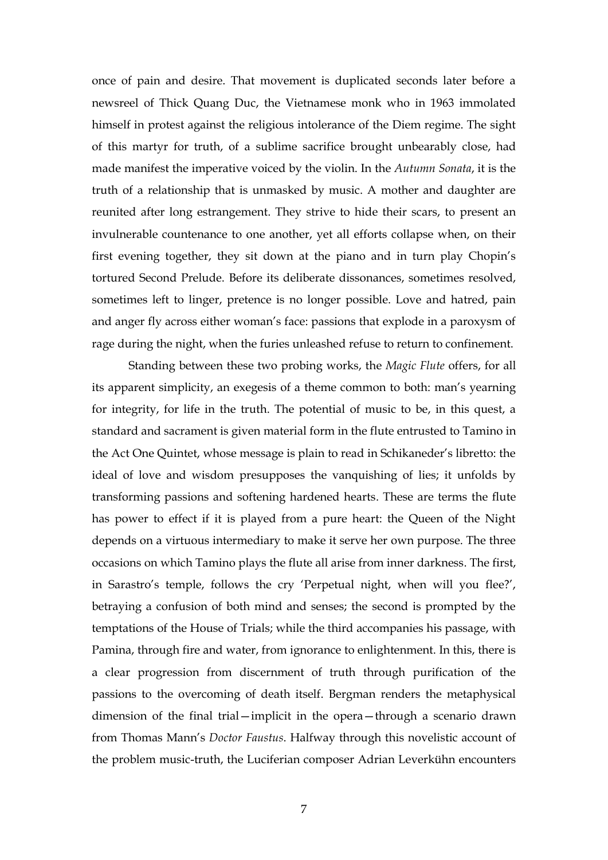once of pain and desire. That movement is duplicated seconds later before a newsreel of Thick Quang Duc, the Vietnamese monk who in 1963 immolated himself in protest against the religious intolerance of the Diem regime. The sight of this martyr for truth, of a sublime sacrifice brought unbearably close, had made manifest the imperative voiced by the violin. In the *Autumn Sonata*, it is the truth of a relationship that is unmasked by music. A mother and daughter are reunited after long estrangement. They strive to hide their scars, to present an invulnerable countenance to one another, yet all efforts collapse when, on their first evening together, they sit down at the piano and in turn play Chopin's tortured Second Prelude. Before its deliberate dissonances, sometimes resolved, sometimes left to linger, pretence is no longer possible. Love and hatred, pain and anger fly across either woman's face: passions that explode in a paroxysm of rage during the night, when the furies unleashed refuse to return to confinement.

Standing between these two probing works, the *Magic Flute* offers, for all its apparent simplicity, an exegesis of a theme common to both: man's yearning for integrity, for life in the truth. The potential of music to be, in this quest, a standard and sacrament is given material form in the flute entrusted to Tamino in the Act One Quintet, whose message is plain to read in Schikaneder's libretto: the ideal of love and wisdom presupposes the vanquishing of lies; it unfolds by transforming passions and softening hardened hearts. These are terms the flute has power to effect if it is played from a pure heart: the Queen of the Night depends on a virtuous intermediary to make it serve her own purpose. The three occasions on which Tamino plays the flute all arise from inner darkness. The first, in Sarastro's temple, follows the cry 'Perpetual night, when will you flee?', betraying a confusion of both mind and senses; the second is prompted by the temptations of the House of Trials; while the third accompanies his passage, with Pamina, through fire and water, from ignorance to enlightenment. In this, there is a clear progression from discernment of truth through purification of the passions to the overcoming of death itself. Bergman renders the metaphysical dimension of the final trial—implicit in the opera—through a scenario drawn from Thomas Mann's *Doctor Faustus*. Halfway through this novelistic account of the problem music-truth, the Luciferian composer Adrian Leverkühn encounters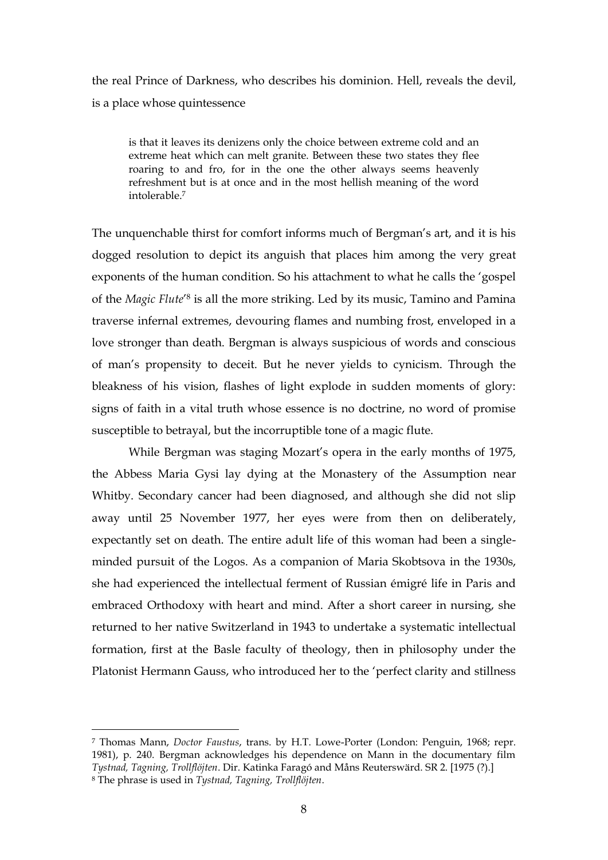the real Prince of Darkness, who describes his dominion. Hell, reveals the devil, is a place whose quintessence

is that it leaves its denizens only the choice between extreme cold and an extreme heat which can melt granite. Between these two states they flee roaring to and fro, for in the one the other always seems heavenly refreshment but is at once and in the most hellish meaning of the word intolerable.<sup>7</sup>

The unquenchable thirst for comfort informs much of Bergman's art, and it is his dogged resolution to depict its anguish that places him among the very great exponents of the human condition. So his attachment to what he calls the 'gospel of the *Magic Flute'*<sup>8</sup> is all the more striking. Led by its music, Tamino and Pamina traverse infernal extremes, devouring flames and numbing frost, enveloped in a love stronger than death. Bergman is always suspicious of words and conscious of man's propensity to deceit. But he never yields to cynicism. Through the bleakness of his vision, flashes of light explode in sudden moments of glory: signs of faith in a vital truth whose essence is no doctrine, no word of promise susceptible to betrayal, but the incorruptible tone of a magic flute.

While Bergman was staging Mozart's opera in the early months of 1975, the Abbess Maria Gysi lay dying at the Monastery of the Assumption near Whitby. Secondary cancer had been diagnosed, and although she did not slip away until 25 November 1977, her eyes were from then on deliberately, expectantly set on death. The entire adult life of this woman had been a singleminded pursuit of the Logos. As a companion of Maria Skobtsova in the 1930s, she had experienced the intellectual ferment of Russian émigré life in Paris and embraced Orthodoxy with heart and mind. After a short career in nursing, she returned to her native Switzerland in 1943 to undertake a systematic intellectual formation, first at the Basle faculty of theology, then in philosophy under the Platonist Hermann Gauss, who introduced her to the 'perfect clarity and stillness

<sup>7</sup> Thomas Mann, *Doctor Faustus*, trans. by H.T. Lowe-Porter (London: Penguin, 1968; repr. 1981), p. 240. Bergman acknowledges his dependence on Mann in the documentary film *Tystnad, Tagning, Trollflöjten*. Dir. Katinka Faragó and Måns Reuterswärd. SR 2. [1975 (?).] <sup>8</sup> The phrase is used in *Tystnad, Tagning, Trollflöjten*.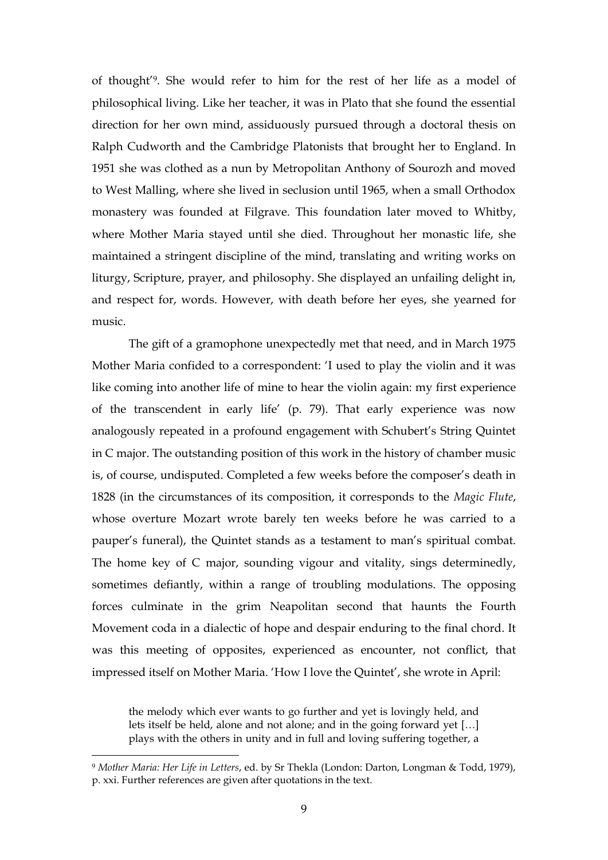of thought'<sup>9</sup> . She would refer to him for the rest of her life as a model of philosophical living. Like her teacher, it was in Plato that she found the essential direction for her own mind, assiduously pursued through a doctoral thesis on Ralph Cudworth and the Cambridge Platonists that brought her to England. In 1951 she was clothed as a nun by Metropolitan Anthony of Sourozh and moved to West Malling, where she lived in seclusion until 1965, when a small Orthodox monastery was founded at Filgrave. This foundation later moved to Whitby, where Mother Maria stayed until she died. Throughout her monastic life, she maintained a stringent discipline of the mind, translating and writing works on liturgy, Scripture, prayer, and philosophy. She displayed an unfailing delight in, and respect for, words. However, with death before her eyes, she yearned for music.

The gift of a gramophone unexpectedly met that need, and in March 1975 Mother Maria confided to a correspondent: 'I used to play the violin and it was like coming into another life of mine to hear the violin again: my first experience of the transcendent in early life' (p. 79). That early experience was now analogously repeated in a profound engagement with Schubert's String Quintet in C major. The outstanding position of this work in the history of chamber music is, of course, undisputed. Completed a few weeks before the composer's death in 1828 (in the circumstances of its composition, it corresponds to the *Magic Flute*, whose overture Mozart wrote barely ten weeks before he was carried to a pauper's funeral), the Quintet stands as a testament to man's spiritual combat. The home key of C major, sounding vigour and vitality, sings determinedly, sometimes defiantly, within a range of troubling modulations. The opposing forces culminate in the grim Neapolitan second that haunts the Fourth Movement coda in a dialectic of hope and despair enduring to the final chord. It was this meeting of opposites, experienced as encounter, not conflict, that impressed itself on Mother Maria. 'How I love the Quintet', she wrote in April:

the melody which ever wants to go further and yet is lovingly held, and lets itself be held, alone and not alone; and in the going forward yet […] plays with the others in unity and in full and loving suffering together, a

<sup>9</sup> *Mother Maria: Her Life in Letters*, ed. by Sr Thekla (London: Darton, Longman & Todd, 1979), p. xxi. Further references are given after quotations in the text.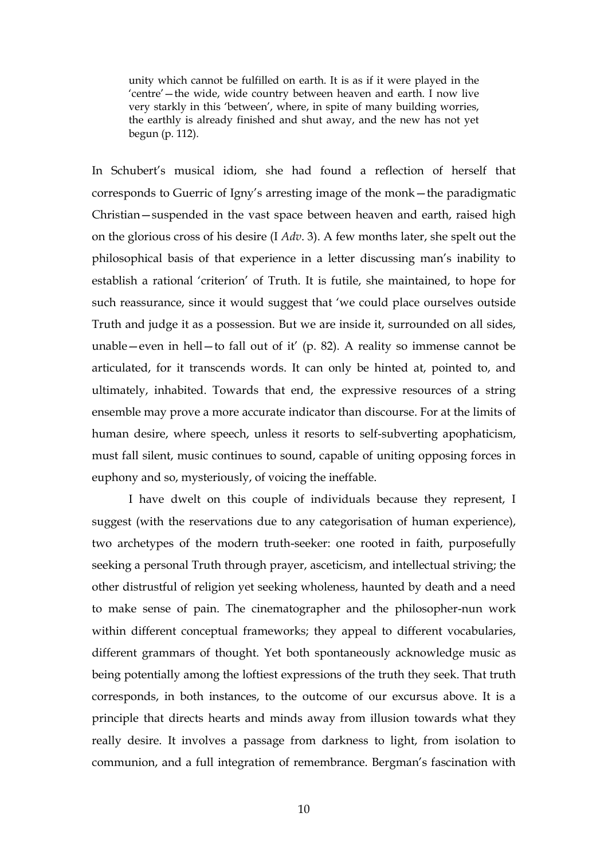unity which cannot be fulfilled on earth. It is as if it were played in the 'centre'—the wide, wide country between heaven and earth. I now live very starkly in this 'between', where, in spite of many building worries, the earthly is already finished and shut away, and the new has not yet begun (p. 112).

In Schubert's musical idiom, she had found a reflection of herself that corresponds to Guerric of Igny's arresting image of the monk—the paradigmatic Christian—suspended in the vast space between heaven and earth, raised high on the glorious cross of his desire (I *Adv*. 3). A few months later, she spelt out the philosophical basis of that experience in a letter discussing man's inability to establish a rational 'criterion' of Truth. It is futile, she maintained, to hope for such reassurance, since it would suggest that 'we could place ourselves outside Truth and judge it as a possession. But we are inside it, surrounded on all sides, unable—even in hell—to fall out of it' (p. 82). A reality so immense cannot be articulated, for it transcends words. It can only be hinted at, pointed to, and ultimately, inhabited. Towards that end, the expressive resources of a string ensemble may prove a more accurate indicator than discourse. For at the limits of human desire, where speech, unless it resorts to self-subverting apophaticism, must fall silent, music continues to sound, capable of uniting opposing forces in euphony and so, mysteriously, of voicing the ineffable.

I have dwelt on this couple of individuals because they represent, I suggest (with the reservations due to any categorisation of human experience), two archetypes of the modern truth-seeker: one rooted in faith, purposefully seeking a personal Truth through prayer, asceticism, and intellectual striving; the other distrustful of religion yet seeking wholeness, haunted by death and a need to make sense of pain. The cinematographer and the philosopher-nun work within different conceptual frameworks; they appeal to different vocabularies, different grammars of thought. Yet both spontaneously acknowledge music as being potentially among the loftiest expressions of the truth they seek. That truth corresponds, in both instances, to the outcome of our excursus above. It is a principle that directs hearts and minds away from illusion towards what they really desire. It involves a passage from darkness to light, from isolation to communion, and a full integration of remembrance. Bergman's fascination with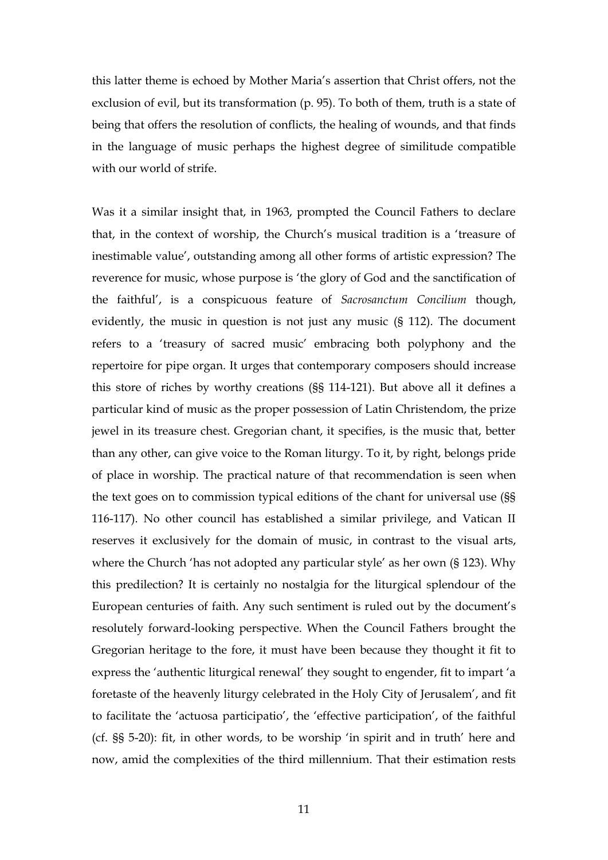this latter theme is echoed by Mother Maria's assertion that Christ offers, not the exclusion of evil, but its transformation (p. 95). To both of them, truth is a state of being that offers the resolution of conflicts, the healing of wounds, and that finds in the language of music perhaps the highest degree of similitude compatible with our world of strife.

Was it a similar insight that, in 1963, prompted the Council Fathers to declare that, in the context of worship, the Church's musical tradition is a 'treasure of inestimable value', outstanding among all other forms of artistic expression? The reverence for music, whose purpose is 'the glory of God and the sanctification of the faithful', is a conspicuous feature of *Sacrosanctum Concilium* though, evidently, the music in question is not just any music (§ 112). The document refers to a 'treasury of sacred music' embracing both polyphony and the repertoire for pipe organ. It urges that contemporary composers should increase this store of riches by worthy creations (§§ 114-121). But above all it defines a particular kind of music as the proper possession of Latin Christendom, the prize jewel in its treasure chest. Gregorian chant, it specifies, is the music that, better than any other, can give voice to the Roman liturgy. To it, by right, belongs pride of place in worship. The practical nature of that recommendation is seen when the text goes on to commission typical editions of the chant for universal use (§§ 116-117). No other council has established a similar privilege, and Vatican II reserves it exclusively for the domain of music, in contrast to the visual arts, where the Church 'has not adopted any particular style' as her own (§ 123). Why this predilection? It is certainly no nostalgia for the liturgical splendour of the European centuries of faith. Any such sentiment is ruled out by the document's resolutely forward-looking perspective. When the Council Fathers brought the Gregorian heritage to the fore, it must have been because they thought it fit to express the 'authentic liturgical renewal' they sought to engender, fit to impart 'a foretaste of the heavenly liturgy celebrated in the Holy City of Jerusalem', and fit to facilitate the 'actuosa participatio', the 'effective participation', of the faithful (cf. §§ 5-20): fit, in other words, to be worship 'in spirit and in truth' here and now, amid the complexities of the third millennium. That their estimation rests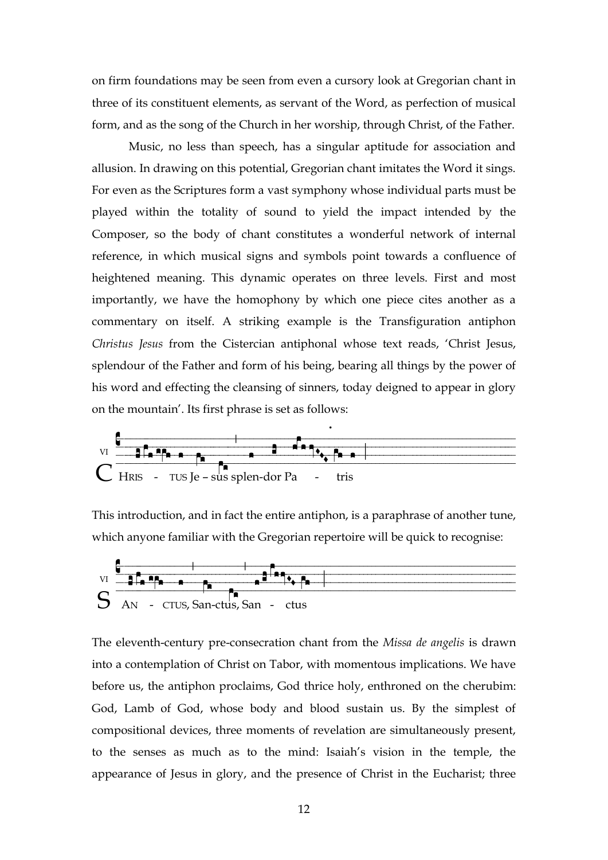on firm foundations may be seen from even a cursory look at Gregorian chant in three of its constituent elements, as servant of the Word, as perfection of musical form, and as the song of the Church in her worship, through Christ, of the Father.

Music, no less than speech, has a singular aptitude for association and allusion. In drawing on this potential, Gregorian chant imitates the Word it sings. For even as the Scriptures form a vast symphony whose individual parts must be played within the totality of sound to yield the impact intended by the Composer, so the body of chant constitutes a wonderful network of internal reference, in which musical signs and symbols point towards a confluence of heightened meaning. This dynamic operates on three levels. First and most importantly, we have the homophony by which one piece cites another as a commentary on itself. A striking example is the Transfiguration antiphon *Christus Jesus* from the Cistercian antiphonal whose text reads, 'Christ Jesus, splendour of the Father and form of his being, bearing all things by the power of his word and effecting the cleansing of sinners, today deigned to appear in glory on the mountain'. Its first phrase is set as follows:



This introduction, and in fact the entire antiphon, is a paraphrase of another tune, which anyone familiar with the Gregorian repertoire will be quick to recognise:



The eleventh-century pre-consecration chant from the *Missa de angelis* is drawn into a contemplation of Christ on Tabor, with momentous implications. We have before us, the antiphon proclaims, God thrice holy, enthroned on the cherubim: God, Lamb of God, whose body and blood sustain us. By the simplest of compositional devices, three moments of revelation are simultaneously present, to the senses as much as to the mind: Isaiah's vision in the temple, the appearance of Jesus in glory, and the presence of Christ in the Eucharist; three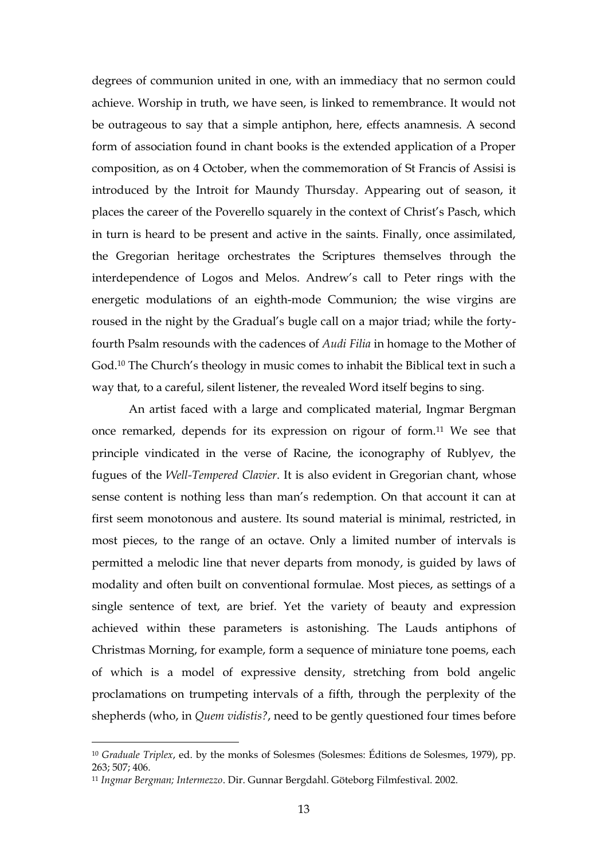degrees of communion united in one, with an immediacy that no sermon could achieve. Worship in truth, we have seen, is linked to remembrance. It would not be outrageous to say that a simple antiphon, here, effects anamnesis. A second form of association found in chant books is the extended application of a Proper composition, as on 4 October, when the commemoration of St Francis of Assisi is introduced by the Introit for Maundy Thursday. Appearing out of season, it places the career of the Poverello squarely in the context of Christ's Pasch, which in turn is heard to be present and active in the saints. Finally, once assimilated, the Gregorian heritage orchestrates the Scriptures themselves through the interdependence of Logos and Melos. Andrew's call to Peter rings with the energetic modulations of an eighth-mode Communion; the wise virgins are roused in the night by the Gradual's bugle call on a major triad; while the fortyfourth Psalm resounds with the cadences of *Audi Filia* in homage to the Mother of God.<sup>10</sup> The Church's theology in music comes to inhabit the Biblical text in such a way that, to a careful, silent listener, the revealed Word itself begins to sing.

An artist faced with a large and complicated material, Ingmar Bergman once remarked, depends for its expression on rigour of form.<sup>11</sup> We see that principle vindicated in the verse of Racine, the iconography of Rublyev, the fugues of the *Well-Tempered Clavier*. It is also evident in Gregorian chant, whose sense content is nothing less than man's redemption. On that account it can at first seem monotonous and austere. Its sound material is minimal, restricted, in most pieces, to the range of an octave. Only a limited number of intervals is permitted a melodic line that never departs from monody, is guided by laws of modality and often built on conventional formulae. Most pieces, as settings of a single sentence of text, are brief. Yet the variety of beauty and expression achieved within these parameters is astonishing. The Lauds antiphons of Christmas Morning, for example, form a sequence of miniature tone poems, each of which is a model of expressive density, stretching from bold angelic proclamations on trumpeting intervals of a fifth, through the perplexity of the shepherds (who, in *Quem vidistis?*, need to be gently questioned four times before

<sup>10</sup> *Graduale Triplex*, ed. by the monks of Solesmes (Solesmes: Éditions de Solesmes, 1979), pp. 263; 507; 406.

<sup>11</sup> *Ingmar Bergman; Intermezzo*. Dir. Gunnar Bergdahl. Göteborg Filmfestival. 2002.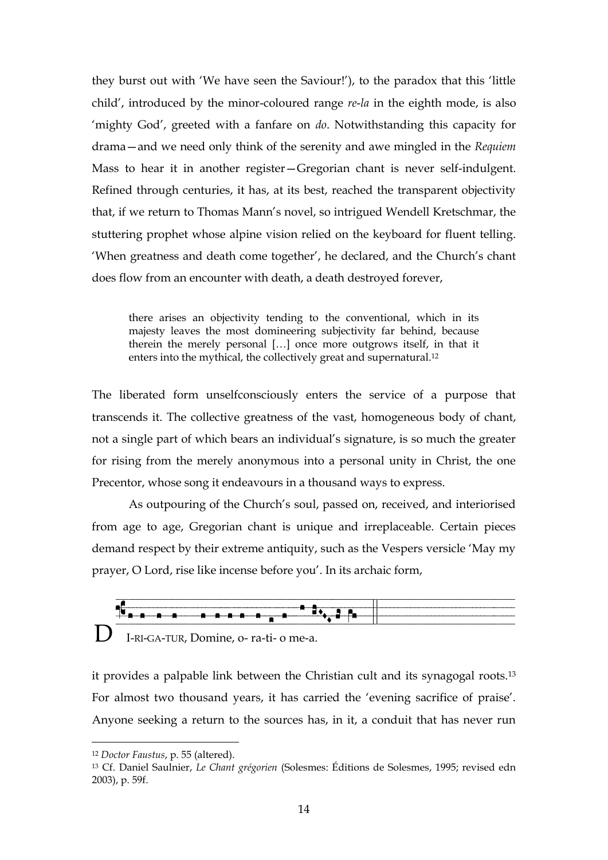they burst out with 'We have seen the Saviour!'), to the paradox that this 'little child', introduced by the minor-coloured range *re*-*la* in the eighth mode, is also 'mighty God', greeted with a fanfare on *do*. Notwithstanding this capacity for drama—and we need only think of the serenity and awe mingled in the *Requiem* Mass to hear it in another register—Gregorian chant is never self-indulgent. Refined through centuries, it has, at its best, reached the transparent objectivity that, if we return to Thomas Mann's novel, so intrigued Wendell Kretschmar, the stuttering prophet whose alpine vision relied on the keyboard for fluent telling. 'When greatness and death come together', he declared, and the Church's chant does flow from an encounter with death, a death destroyed forever,

there arises an objectivity tending to the conventional, which in its majesty leaves the most domineering subjectivity far behind, because therein the merely personal […] once more outgrows itself, in that it enters into the mythical, the collectively great and supernatural.<sup>12</sup>

The liberated form unselfconsciously enters the service of a purpose that transcends it. The collective greatness of the vast, homogeneous body of chant, not a single part of which bears an individual's signature, is so much the greater for rising from the merely anonymous into a personal unity in Christ, the one Precentor, whose song it endeavours in a thousand ways to express.

As outpouring of the Church's soul, passed on, received, and interiorised from age to age, Gregorian chant is unique and irreplaceable. Certain pieces demand respect by their extreme antiquity, such as the Vespers versicle 'May my prayer, O Lord, rise like incense before you'. In its archaic form,



it provides a palpable link between the Christian cult and its synagogal roots.<sup>13</sup> For almost two thousand years, it has carried the 'evening sacrifice of praise'. Anyone seeking a return to the sources has, in it, a conduit that has never run

<sup>12</sup> *Doctor Faustus*, p. 55 (altered).

<sup>13</sup> Cf. Daniel Saulnier, *Le Chant grégorien* (Solesmes: Éditions de Solesmes, 1995; revised edn 2003), p. 59f.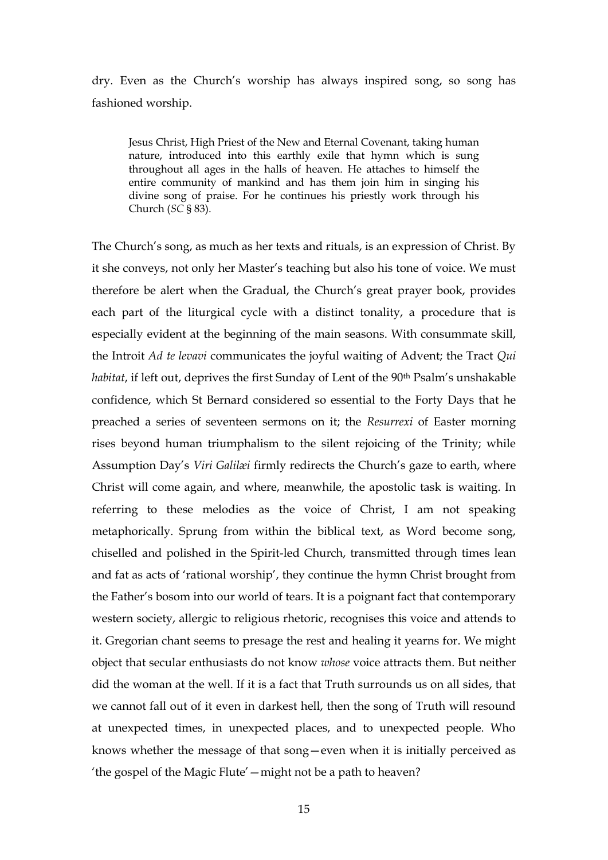dry. Even as the Church's worship has always inspired song, so song has fashioned worship.

Jesus Christ, High Priest of the New and Eternal Covenant, taking human nature, introduced into this earthly exile that hymn which is sung throughout all ages in the halls of heaven. He attaches to himself the entire community of mankind and has them join him in singing his divine song of praise. For he continues his priestly work through his Church (*SC* § 83).

The Church's song, as much as her texts and rituals, is an expression of Christ. By it she conveys, not only her Master's teaching but also his tone of voice. We must therefore be alert when the Gradual, the Church's great prayer book, provides each part of the liturgical cycle with a distinct tonality, a procedure that is especially evident at the beginning of the main seasons. With consummate skill, the Introit *Ad te levavi* communicates the joyful waiting of Advent; the Tract *Qui habitat*, if left out, deprives the first Sunday of Lent of the 90<sup>th</sup> Psalm's unshakable confidence, which St Bernard considered so essential to the Forty Days that he preached a series of seventeen sermons on it; the *Resurrexi* of Easter morning rises beyond human triumphalism to the silent rejoicing of the Trinity; while Assumption Day's *Viri Galilæi* firmly redirects the Church's gaze to earth, where Christ will come again, and where, meanwhile, the apostolic task is waiting. In referring to these melodies as the voice of Christ, I am not speaking metaphorically. Sprung from within the biblical text, as Word become song, chiselled and polished in the Spirit-led Church, transmitted through times lean and fat as acts of 'rational worship', they continue the hymn Christ brought from the Father's bosom into our world of tears. It is a poignant fact that contemporary western society, allergic to religious rhetoric, recognises this voice and attends to it. Gregorian chant seems to presage the rest and healing it yearns for. We might object that secular enthusiasts do not know *whose* voice attracts them. But neither did the woman at the well. If it is a fact that Truth surrounds us on all sides, that we cannot fall out of it even in darkest hell, then the song of Truth will resound at unexpected times, in unexpected places, and to unexpected people. Who knows whether the message of that song—even when it is initially perceived as 'the gospel of the Magic Flute'—might not be a path to heaven?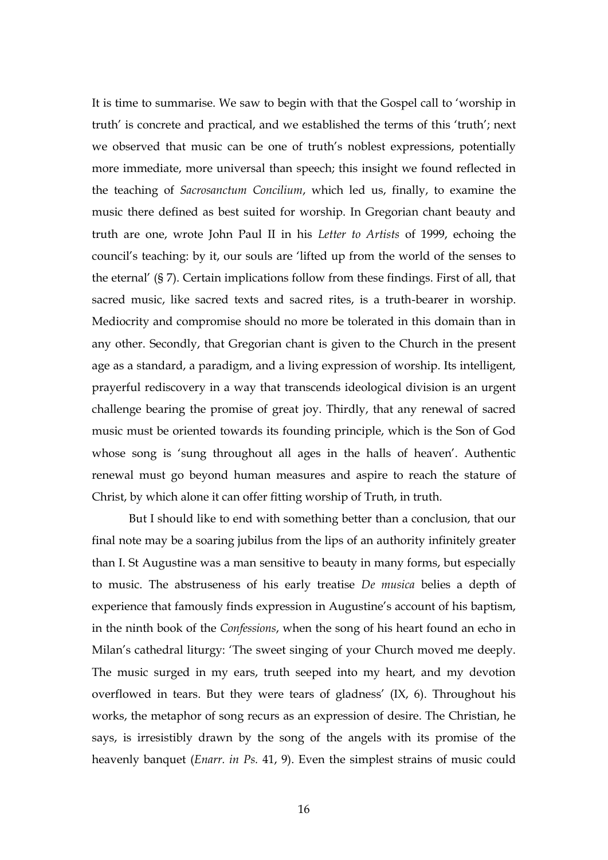It is time to summarise. We saw to begin with that the Gospel call to 'worship in truth' is concrete and practical, and we established the terms of this 'truth'; next we observed that music can be one of truth's noblest expressions, potentially more immediate, more universal than speech; this insight we found reflected in the teaching of *Sacrosanctum Concilium*, which led us, finally, to examine the music there defined as best suited for worship. In Gregorian chant beauty and truth are one, wrote John Paul II in his *Letter to Artists* of 1999, echoing the council's teaching: by it, our souls are 'lifted up from the world of the senses to the eternal' (§ 7). Certain implications follow from these findings. First of all, that sacred music, like sacred texts and sacred rites, is a truth-bearer in worship. Mediocrity and compromise should no more be tolerated in this domain than in any other. Secondly, that Gregorian chant is given to the Church in the present age as a standard, a paradigm, and a living expression of worship. Its intelligent, prayerful rediscovery in a way that transcends ideological division is an urgent challenge bearing the promise of great joy. Thirdly, that any renewal of sacred music must be oriented towards its founding principle, which is the Son of God whose song is 'sung throughout all ages in the halls of heaven'. Authentic renewal must go beyond human measures and aspire to reach the stature of Christ, by which alone it can offer fitting worship of Truth, in truth.

But I should like to end with something better than a conclusion, that our final note may be a soaring jubilus from the lips of an authority infinitely greater than I. St Augustine was a man sensitive to beauty in many forms, but especially to music. The abstruseness of his early treatise *De musica* belies a depth of experience that famously finds expression in Augustine's account of his baptism, in the ninth book of the *Confessions*, when the song of his heart found an echo in Milan's cathedral liturgy: 'The sweet singing of your Church moved me deeply. The music surged in my ears, truth seeped into my heart, and my devotion overflowed in tears. But they were tears of gladness' (IX, 6). Throughout his works, the metaphor of song recurs as an expression of desire. The Christian, he says, is irresistibly drawn by the song of the angels with its promise of the heavenly banquet (*Enarr. in Ps.* 41, 9). Even the simplest strains of music could